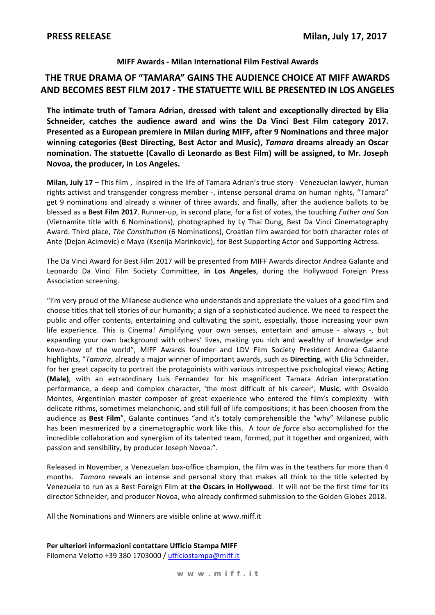### MIFF Awards - Milan International Film Festival Awards

## THE TRUE DRAMA OF "TAMARA" GAINS THE AUDIENCE CHOICE AT MIFF AWARDS AND BECOMES BEST FILM 2017 - THE STATUETTE WILL BE PRESENTED IN LOS ANGELES

The intimate truth of Tamara Adrian, dressed with talent and exceptionally directed by Elia Schneider, catches the audience award and wins the Da Vinci Best Film category 2017. Presented as a European premiere in Milan during MIFF, after 9 Nominations and three major winning categories (Best Directing, Best Actor and Music), Tamara dreams already an Oscar nomination. The statuette (Cavallo di Leonardo as Best Film) will be assigned, to Mr. Joseph Novoa, the producer, in Los Angeles.

Milan. July 17 - This film, inspired in the life of Tamara Adrian's true story - Venezuelan lawyer, human rights activist and transgender congress member -, intense personal drama on human rights, "Tamara" get 9 nominations and already a winner of three awards, and finally, after the audience ballots to be blessed as a Best Film 2017. Runner-up, in second place, for a fist of votes, the touching Father and Son (Vietnamite title with 6 Nominations), photographed by Ly Thai Dung, Best Da Vinci Cinematography Award. Third place, The Constitution (6 Nominations), Croatian film awarded for both character roles of Ante (Dejan Acimovic) e Maya (Ksenija Marinkovic), for Best Supporting Actor and Supporting Actress.

The Da Vinci Award for Best Film 2017 will be presented from MIFF Awards director Andrea Galante and Leonardo Da Vinci Film Society Committee, in Los Angeles, during the Hollywood Foreign Press Association screening.

"I'm very proud of the Milanese audience who understands and appreciate the values of a good film and choose titles that tell stories of our humanity; a sign of a sophisticated audience. We need to respect the public and offer contents, entertaining and cultivating the spirit, especially, those increasing your own life experience. This is Cinema! Amplifying your own senses, entertain and amuse - always -, but expanding your own background with others' lives, making you rich and wealthy of knowledge and knwo-how of the world", MIFF Awards founder and LDV Film Society President Andrea Galante highlights, "Tamara, already a major winner of important awards, such as Directing, with Elia Schneider, for her great capacity to portrait the protagoinists with various introspective psichological views; Acting (Male), with an extraordinary Luis Fernandez for his magnificent Tamara Adrian interpratation performance, a deep and complex character, 'the most difficult of his career'; Music, with Osvaldo Montes, Argentinian master composer of great experience who entered the film's complexity with delicate rithms, sometimes melanchonic, and still full of life compositions; it has been choosen from the audience as Best Film", Galante continues "and it's totaly comprehensible the "why" Milanese public has been mesmerized by a cinematographic work like this. A tour de force also accomplished for the incredible collaboration and synergism of its talented team, formed, put it together and organized, with passion and sensibility, by producer Joseph Novoa.".

Released in November, a Venezuelan box-office champion, the film was in the teathers for more than 4 months. Tamara reveals an intense and personal story that makes all think to the title selected by Venezuela to run as a Best Foreign Film at the Oscars in Hollywood. It will not be the first time for its director Schneider, and producer Novoa, who already confirmed submission to the Golden Globes 2018.

All the Nominations and Winners are visible online at www.miff.it

Per ulteriori informazioni contattare Ufficio Stampa MIFF

Filomena Velotto +39 380 1703000 / ufficiostampa@miff.it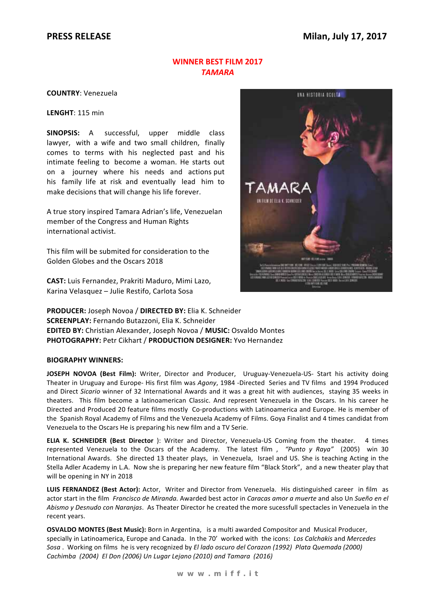### **WINNER BEST FILM 2017 TAMARA**

**COUNTRY: Venezuela** 

LENGHT: 115 min

SINOPSIS: A successful, upper middle class lawyer, with a wife and two small children, finally comes to terms with his neglected past and his intimate feeling to become a woman. He starts out on a journey where his needs and actions put his family life at risk and eventually lead him to make decisions that will change his life forever.

A true story inspired Tamara Adrian's life, Venezuelan member of the Congress and Human Rights international activist.

This film will be submited for consideration to the Golden Globes and the Oscars 2018

CAST: Luis Fernandez, Prakriti Maduro, Mimi Lazo, Karina Velasquez - Julie Restifo, Carlota Sosa



PRODUCER: Joseph Novoa / DIRECTED BY: Elia K. Schneider **SCREENPLAY: Fernando Butazzoni, Elia K. Schneider** EDITED BY: Christian Alexander, Joseph Novoa / MUSIC: Osvaldo Montes **PHOTOGRAPHY: Petr Cikhart / PRODUCTION DESIGNER: Yvo Hernandez** 

#### **BIOGRAPHY WINNERS:**

JOSEPH NOVOA (Best Film): Writer, Director and Producer, Uruguay-Venezuela-US- Start his activity doing Theater in Uruguay and Europe- His first film was Agony, 1984 -Directed Series and TV films and 1994 Produced and Direct Sicario winner of 32 International Awards and it was a great hit with audiences. staving 35 weeks in theaters. This film become a latinoamerican Classic. And represent Venezuela in the Oscars. In his career he Directed and Produced 20 feature films mostly Co-productions with Latinoamerica and Europe. He is member of the Spanish Royal Academy of Films and the Venezuela Academy of Films. Goya Finalist and 4 times candidat from Venezuela to the Oscars He is preparing his new film and a TV Serie.

ELIA K. SCHNEIDER (Best Director): Writer and Director, Venezuela-US Coming from the theater. 4 times represented Venezuela to the Oscars of the Academy. The latest film, "Punto y Raya" (2005) win 30 International Awards. She directed 13 theater plays, in Venezuela, Israel and US. She is teaching Acting in the Stella Adler Academy in L.A. Now she is preparing her new feature film "Black Stork", and a new theater play that will be opening in NY in 2018

LUIS FERNANDEZ (Best Actor): Actor, Writer and Director from Venezuela. His distinguished career in film as actor start in the film Francisco de Miranda. Awarded best actor in Caracas amor a muerte and also Un Sueño en el Abismo y Desnudo con Naranjas. As Theater Director he created the more sucessfull spectacles in Venezuela in the recent years.

OSVALDO MONTES (Best Music): Born in Argentina, is a multi awarded Compositor and Musical Producer, specially in Latinoamerica, Europe and Canada. In the 70' worked with the icons: Los Calchakis and Mercedes Sosa. Working on films he is very recognized by El lado oscuro del Corazon (1992) Plata Quemada (2000) Cachimba (2004) El Don (2006) Un Lugar Lejano (2010) and Tamara (2016)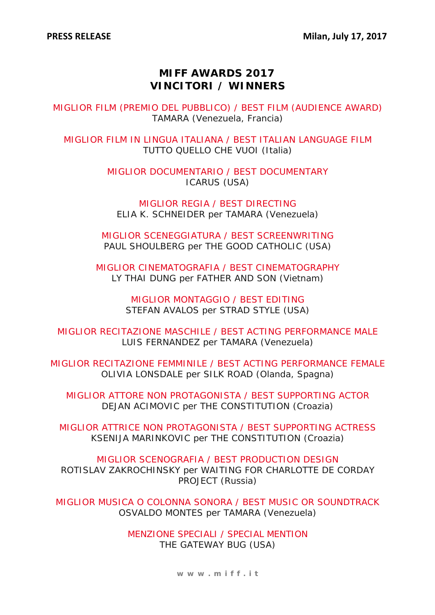# **MIFF AWARDS 2017 VINCITORI / WINNERS**

MIGLIOR FILM (PREMIO DEL PUBBLICO) / BEST FILM (AUDIENCE AWARD) TAMARA (Venezuela, Francia)

MIGLIOR FILM IN LINGUA ITALIANA / BEST ITALIAN LANGUAGE FILM TUTTO QUELLO CHE VUOI (Italia)

> MIGLIOR DOCUMENTARIO / BEST DOCUMENTARY ICARUS (USA)

MIGLIOR REGIA / BEST DIRECTING ELIA K. SCHNEIDER per TAMARA (Venezuela)

MIGLIOR SCENEGGIATURA / BEST SCREENWRITING PAUL SHOULBERG per THE GOOD CATHOLIC (USA)

MIGLIOR CINEMATOGRAFIA / BEST CINEMATOGRAPHY LY THAI DUNG per FATHER AND SON (Vietnam)

> MIGLIOR MONTAGGIO / BEST EDITING STEFAN AVALOS per STRAD STYLE (USA)

MIGLIOR RECITAZIONE MASCHILE / BEST ACTING PERFORMANCE MALE LUIS FERNANDEZ per TAMARA (Venezuela)

MIGLIOR RECITAZIONE FEMMINILE / BEST ACTING PERFORMANCE FEMALE OLIVIA LONSDALE per SILK ROAD (Olanda, Spagna)

MIGLIOR ATTORE NON PROTAGONISTA / BEST SUPPORTING ACTOR DEJAN ACIMOVIC per THE CONSTITUTION (Croazia)

MIGLIOR ATTRICE NON PROTAGONISTA / BEST SUPPORTING ACTRESS KSENIJA MARINKOVIC per THE CONSTITUTION (Croazia)

MIGLIOR SCENOGRAFIA / BEST PRODUCTION DESIGN ROTISLAV ZAKROCHINSKY per WAITING FOR CHARLOTTE DE CORDAY PROJECT (Russia)

MIGLIOR MUSICA O COLONNA SONORA / BEST MUSIC OR SOUNDTRACK OSVALDO MONTES per TAMARA (Venezuela)

> MENZIONE SPECIALI / SPECIAL MENTION THE GATEWAY BUG (USA)